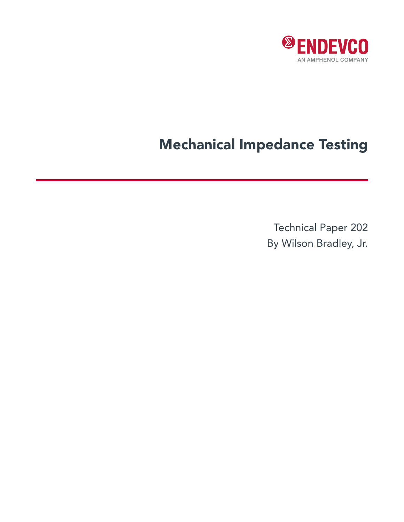

# Mechanical Impedance Testing

Technical Paper 202 By Wilson Bradley, Jr.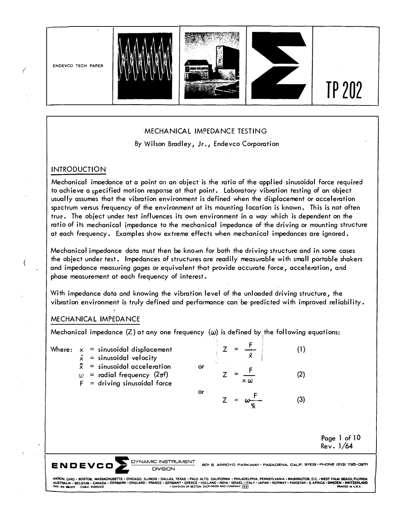

## ·MECHANICAL IMPEDANCE TESTING

By Wilson Bradley, Jr., Endevco Corporation

## INTRODUCTION

Mechanical imoedance at a point on an object is the ratio of the applied sinusoidal force required to achieve a specified motion response at that point. Laboratory vibration testing of an object usually assumes that the vibration environment is defined when the displacement or acceleration spactrum versus frequency of the environment at its mounting location is known. This is not often true. The object under test influences its own environment in a way which is dependent on the ratio of its mechanical impedance to the mechanical impedance of the driving or mounting structure at each frequency. Examples show extreme effects when mechanical impedances ore ignored.

Mechanical impedance data must then be known for both the driving structure and in some cases the object under test. Impedances of structures are readily measurable with small portable shakers and impedance measuring gages or equivalent that provide accurate force, acceleration, and phase measurement at each frequency of interest.

With impedance data and knowing the vibration level of the unloaded driving structure, the vibration environment is truly defined and performance can be predicted with improved reliability.

## MECHANICAL IMPEDANCE

Mechanical impedance  $(Z)$  at any one frequency  $(\omega)$  is defined by the following equations:

|        |                        | <b>DYNAMIC INSTRUMENT</b><br>ENDEVCO<br><b>DIVISION</b>                                      | вCм       | S. ARROYO PARKWAY, PASADENA, CALIF, 91109, PHONE (213) 795-027 |     |                           |
|--------|------------------------|----------------------------------------------------------------------------------------------|-----------|----------------------------------------------------------------|-----|---------------------------|
|        |                        |                                                                                              |           |                                                                |     | Page 1 of 10<br>Rev. 1/64 |
|        |                        |                                                                                              | or        | $=$                                                            | (3) |                           |
|        | $\ddot{x}$<br>$\omega$ | $=$ sinusoidal acceleration<br>= radial frequency $(2\pi f)$<br>$=$ driving sinusoidal force | <b>or</b> | $\times \omega$                                                | (2) |                           |
| Where: | $\dot{x}$              | $x =$ sinusoidal displacement<br>$=$ sinusoidal velocity                                     |           | Ŷ.                                                             | (1) |                           |
|        |                        |                                                                                              |           |                                                                |     |                           |

AKRON, OHIO • BOSTOW, MASSACHUSETTS • CHICAGO, ILLINOIS • DALLAS, TEXAS • PALO ALTO. CALIFORNIA • PHILADELPHIA, PENNSYLVANIA • WASHINGTON, D.C. • WEST PALM BEACH, FLORIDA<br>AUSTRALIA • BELGIUM • CANADA • DENMARK • ENGLAND •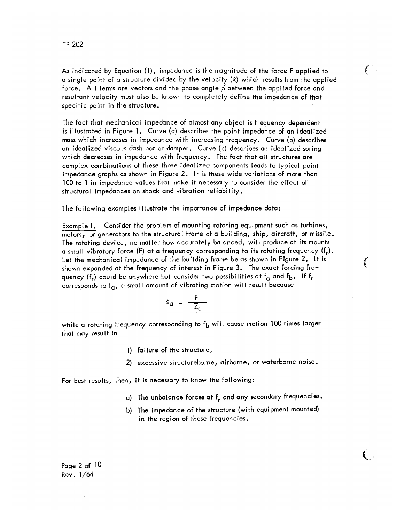As indicated by Equation (1), impedance is the magnitude of the force F applied to a single point of a structure divided by the velocity  $(x)$  which results from the applied force. All terms are vectors and the phase angle  $\cancel{\phi}$  between the applied force and resultant velocity must also be known to completely define the impedance of that specific point in the structure.

€

 $\epsilon$ 

The fact that mechanical impedance of almost any object is frequency dependent is illustrated in Figure 1. Curve (a) describes the point impedance of an idealized mass which increases in impedance with increasing frequency. Curve (b) describes an idealized viscous dash pot or damper. Curve (c) describes an idealized spring which decreases in impedance with frequency. The fact that all structures are complex combinations of these three idealized components leads to typical point impedance graphs as shown in Figure 2. It is these wide variations of more than 100 to 1 in impedance values that make it necessary to consider the effect of structural impedances on shock and vibration reliability.

The following examples illustrate the importance of impedance data:

Example 1. Consider the problem of mounting rotating equipment such as turbines, motors, or generators to the structural frame of a building, ship, aircraft, or missile. The rotating device, no matter how accurately balanced, will produce at its mounts a small vibratory force (F) at a frequency corresponding to its rotating frequency  $(f_r)$ . Let the mechanical impedance of the building frame be as shown in Figure 2. It is shown expanded at the frequency of interest in Figure 3. The exact forcing frequency (f<sub>r</sub>) could be anywhere but consider two possibilities at f<sub>a</sub> and f<sub>b</sub>. If f<sub>r</sub> corresponds to  $f_{\alpha}$ , a small amount of vibrating motion will result because

$$
\dot{x}_{\alpha} = \frac{F}{Z_{\alpha}}
$$

while a rotating frequency corresponding to  $f<sub>b</sub>$  will cause motion 100 times larger that may result in

- 1) failure of the structure,
- 2) excessive structureborne, airborne, or waterborne noise.

For best results, then, it is necessary to know the following:

- a) The unbalance forces at  $f_r$  and any secondary frequencies.
- b) The impedance of the structure (with equipment mounted) in the region of these frequencies.

Page  $2$  of  $10$  $Rev. 1/64$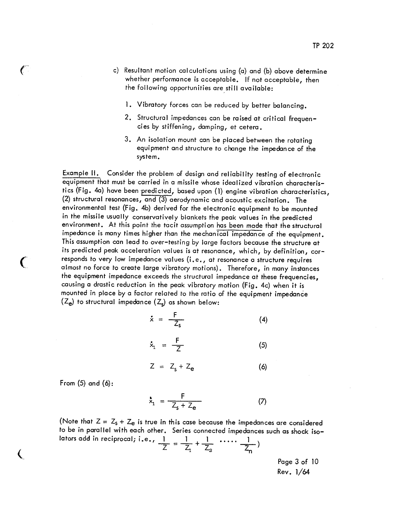- c) Resultant motion calculations using (a) and (b) above determine whether performance is acceptable. If not acceptable, then the following opportunities are still available:
	- 1. Vibratory forces can be reduced by better balancing.
	- 2. Structural impedances can be raised at critical frequencies by stiffening, damping, et cetera.
	- 3. An isolation mount can be placed between the rotating equipment and structure to change the impedance of the system.

Example II. Consider the problem of design and reliability testing of electronic equipment that must be carried in a missile whose idealized vibration characteristics (Fig. 4a) have been predicted, based upon (1) engine vibration characteristics, (2) structural resonances, and (3) aerodynamic and acoustic excitation. The environmental test (Fig. 4b) derived for the electronic equipment to be mounted in the missile usually conservatively blankets the peak values in the predicted environment. At this point the tacit assumption has been made that the structural impedance is many times higher than the mechanical impedance of the equipment. This assumption can lead to over-testing by large factors because the structure at its predicted peak acceleration values is at resonance, which, by definition, cor– responds to very low impedance values (i.e., at resonance a structure requires almost no force to create large vibratory motions). Therefore, in many instances the equipment impedance exceeds the structural impedance at these frequencies, causing a drastic reduction in the peak vibratory motion (Fig. 4c) when it is mounted in place by a factor related to the ratio of the equipment impedance  $(Z_e)$  to structural impedance  $(Z_c)$  as shown below:

$$
\dot{x} = -\frac{F}{Z_s} \tag{4}
$$

$$
\dot{x}_1 = \frac{F}{Z} \tag{5}
$$

$$
Z = Z_s + Z_e \tag{6}
$$

From  $(5)$  and  $(6)$ :

 $\epsilon$ 

 $\big($ 

$$
\dot{x}_1 = \frac{F}{Z_s + Z_e} \tag{7}
$$

(Note that  $Z = Z_s + Z_e$  is true in this case because the impedances are considered to be in parallel with each other. Series connected impedances such as shock iso– lators add in reciprocal; i.e.,  $\frac{1}{Z} = \frac{1}{Z_1} + \frac{1}{Z_2}$  .....  $\frac{1}{Z_n}$ 

> Page 3 of 10 Rev. 1/64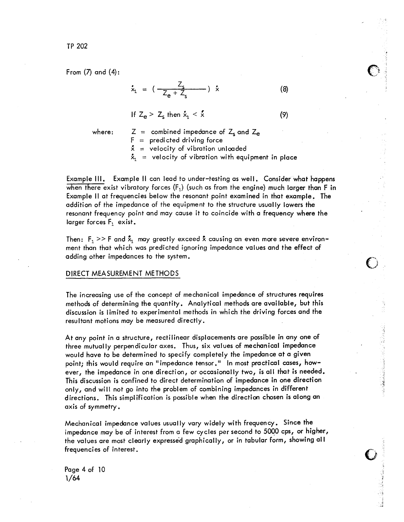TP 202

From  $(7)$  and  $(4)$ :

$$
\dot{x}_1 = \left( \frac{Z_s}{Z_e + Z_s} \right) \dot{x} \tag{8}
$$

If  $Z_e > Z_s$  then  $x_i < x$  $(9)$ 

where:

 $Z =$  combined impedance of  $Z_s$  and  $Z_e$  $F =$  predicted driving force  $x =$  velocity of vibration unloaded

 $\mathbf{\dot{x}}_1$  = velocity of vibration with equipment in place

Example III. Example II can lead to under-testing as well. Consider what happens when there exist vibratory forces  $(F_1)$  (such as from the engine) much larger than F in Example II at frequencies below the resonant point examined in that example. The addition of the impedance of the equipment to the structure usually lowers the resonant frequency point and may cause it to coincide with a frequency where the larger forces  $F_1$  exist.

Then:  $F_1 >> F$  and  $\bar{x}_1$  may greatly exceed  $\bar{x}$  causing an even more severe environment than that which was predicted ignoring impedance values and the effect of adding other impedances to the system.

## DIRECT MEASUREMENT METHODS

The increasing use of the concept of mechanical impedance of structures requires methods of determining the quantity. Analytical methods are available, but this discussion is limited to experimental methods in which the driving forces and the resultant motions may be measured directly.

At any point in a structure, rectilinear displacements are possible in any one of three mutually perpendicular axes. Thus, six values of mechanical impedance would have to be determined to specify completely the impedance at a given point: this would require an "impedance tensor," In most practical cases, however, the impedance in one direction, or occasionally two, is all that is needed. This discussion is confined to direct determination of impedance in one direction only, and will not go into the problem of combining impedances in different directions. This simplification is possible when the direction chosen is along an axis of symmetry.

Mechanical impedance values usually vary widely with frequency. Since the impedance may be of interest from a few cycles per second to 5000 cps, or higher, the values are most clearly expressed graphically, or in tabular form, showing all frequencies of interest.

Page 4 of 10  $1/64$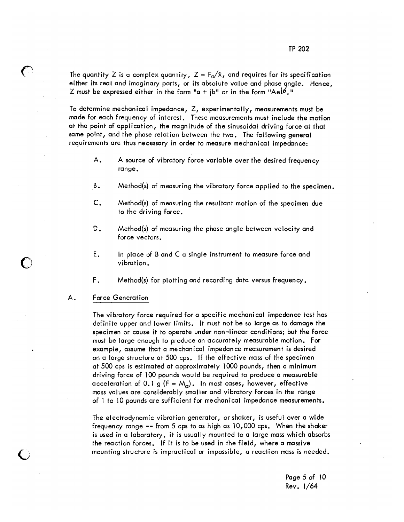The quantity Z is a complex quantity,  $Z = F_0/x$ , and requires for its specification either its real and imaginary parts, or its absolute value and phase angle. Hence, Z must be expressed either in the form "a +  $\mathsf{ib}$ " or in the form "Ael $\cancel{\hspace{-.1cm}\ell}$ ."

To determine mechanical impedance, Z, experimentally, measurements must be made for each frequency of interest. These measurements must include the motion at the point of application, the magnitude of the sinusoidal driving force at that same point, and the phase relation between the two. The following general requirements are thus necessary in order to measure mechanical impedance:

- Α. A source of vibratory force variable over the desired frequency range.
- Β. Method(s) of measuring the vibratory force applied to the specimen.
- $\mathsf{C}$ . Method(s) of measuring the resultant motion of the specimen due to the driving force.
- D. Method(s) of measuring the phase angle between velocity and force vectors.
- Ε. In place of B and C a single instrument to measure force and vibration.
- F. Method(s) for plotting and recording data versus frequency.

#### Α. **Force Generation**

The vibratory force required for a specific mechanical impedance test has definite upper and lower limits. It must not be so large as to damage the specimen or cause it to operate under non-linear conditions; but the force must be large enough to produce an accurately measurable motion. For example, assume that a mechanical impedance measurement is desired on a large structure at 500 cps. If the effective mass of the specimen at 500 cps is estimated at approximately 1000 pounds, then a minimum driving force of 100 pounds would be required to produce a measurable acceleration of 0.1 g (F =  $M_q$ ). In most cases, however, effective mass values are considerably smaller and vibratory forces in the range of 1 to 10 pounds are sufficient for mechanical impedance measurements.

The electrodynamic vibration generator, or shaker, is useful over a wide frequency range  $-$  from 5 cps to as high as  $10,000$  cps. When the shaker is used in a laboratory, it is usually mounted to a large mass which absorbs the reaction forces. If it is to be used in the field, where a massive mounting structure is impractical or impossible, a reaction mass is needed.

> Page 5 of 10 Rev. 1/64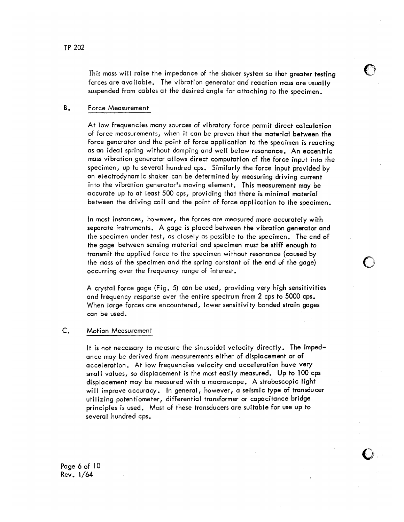This mass will raise the impedance of the shaker system so that greater testing forces are available. The vibration generator and reaction mass are usually suspended from cables at the desired angle for attaching to the specimen.

#### Β. Force Measurement

At low frequencies many sources of vibratory force permit direct calculation of force measurements, when it can be proven that the material between the force generator and the point of force application to the specimen is reacting as an ideal spring without damping and well below resonance. An eccentric mass vibration generator allows direct computation of the force input into the specimen, up to several hundred cps. Similarly the force input provided by an electrodynamic shaker can be determined by measuring driving current into the vibration generator's moving element. This measurement may be accurate up to at least 500 cps, providing that there is minimal material between the driving coil and the point of force application to the specimen.

In most instances, however, the forces are measured more accurately with separate instruments. A gage is placed between the vibration generator and the specimen under test, as closely as possible to the specimen. The end of the gage between sensing material and specimen must be stiff enough to transmit the applied force to the specimen without resonance (caused by the mass of the specimen and the spring constant of the end of the gage) occurring over the frequency range of interest.

A crystal force gage (Fig. 5) can be used, providing very high sensitivities and frequency response over the entire spectrum from 2 cps to 5000 cps. When large forces are encountered, lower sensitivity bonded strain gages can be used.

#### C. **Motion Measurement**

It is not necessary to measure the sinusoidal velocity directly. The impedance may be derived from measurements either of displacement or of acceleration. At low frequencies velocity and acceleration have very small values, so displacement is the most easily measured. Up to 100 cps displacement may be measured with a macroscope. A stroboscopic light will improve accuracy. In general, however, a seismic type of transducer utilizing potentiometer, differential transformer or capacitance bridge principles is used. Most of these transducers are suitable for use up to several hundred cps.

Page 6 of 10  $Rev. 1/64$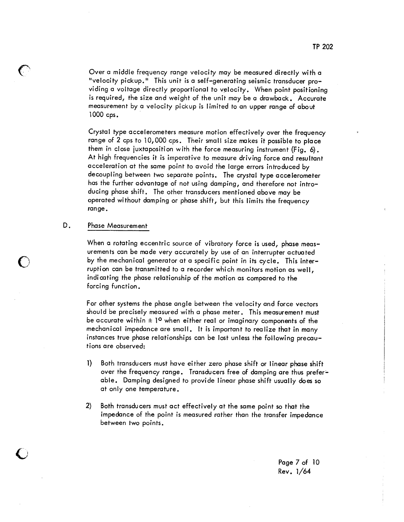Over a middle frequency range velocity may be measured directly with a "velocity pickup." This unit is a self-generating seismic transducer providing a voltage directly proportional to velocity. When point positioning is required, the size and weight of the unit may be a drawback. Accurate measurement by a velocity pickup is limited to an upper range of about  $1000$  cps.

Crystal type accelerometers measure motion effectively over the frequency range of 2 cps to 10,000 cps. Their small size makes it possible to place them in close juxtaposition with the force measuring instrument (Fig. 6). At high frequencies it is imperative to measure driving force and resultant acceleration at the same point to avoid the large errors introduced by decoupling between two separate points. The crystal type accelerometer has the further advantage of not using damping, and therefore not introducing phase shift. The other transducers mentioned above may be operated without damping or phase shift, but this limits the frequency range.

#### D. **Phase Measurement**

្រ

When a rotating eccentric source of vibratory force is used, phase measurements can be made very accurately by use of an interrupter actuated by the mechanical generator at a specific point in its cycle. This interruption can be transmitted to a recorder which monitors motion as well. indicating the phase relationship of the motion as compared to the forcing function.

For other systems the phase angle between the velocity and force vectors should be precisely measured with a phase meter. This measurement must be accurate within  $\pm$  1º when either real or imaginary components of the mechanical impedance are small. It is important to realize that in many instances true phase relationships can be lost unless the following precautions are observed:

- $\mathbf{I}$ Both transducers must have either zero phase shift or linear phase shift over the frequency range. Transducers free of damping are thus preferable. Damping designed to provide linear phase shift usually does so at only one temperature.
- $2)$ Both transducers must act effectively at the same point so that the impedance of the point is measured rather than the transfer impedance between two points.

Page 7 of 10 Rev. 1/64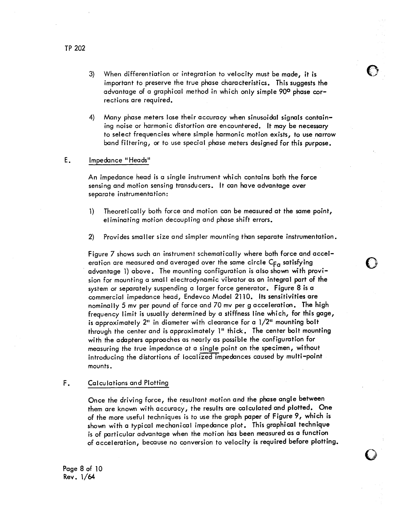3) When differentiation or integration to velocity must be made, it is important to preserve the true phase characteristics. This suggests the advantage of a graphical method in which only simple 90° phase corrections are required.

**E** 3

Many phase meters lose their accuracy when sinusoidal signals contain-4) ing noise or harmonic distortion are encountered. It may be necessary to select frequencies where simple harmonic motion exists, to use narrow band filtering, or to use special phase meters designed for this purpose.

#### Ε. Impedance "Heads"

An impedance head is a single instrument which contains both the force sensing and motion sensing transducers. It can have advantage over separate instrumentation:

- Theoretically both force and motion can be measured at the same point,  $\left| \cdot \right|$ eliminating motion decoupling and phase shift errors.
- $\mathbf{2}$ Provides smaller size and simpler mounting than separate instrumentation.

Figure 7 shows such an instrument schematically where both force and acceleration are measured and averaged over the same circle  $C_{F_{\mathcal{O}}}$  satisfying advantage 1) above. The mounting configuration is also shown with provision for mounting a small electrodynamic vibrator as an integral part of the system or separately suspending a larger force generator. Figure 8 is a commercial impedance head, Endevco Model 2110. Its sensitivities are nominally 5 my per pound of force and 70 my per g acceleration. The high frequency limit is usually determined by a stiffness line which, for this gage, is approximately  $2^n$  in diameter with clearance for a  $1/2^n$  mounting boit through the center and is approximately 1" thick. The center bolt mounting with the adapters approaches as nearly as possible the configuration for measuring the true impedance at a single point on the specimen, without introducing the distortions of localized impedances caused by multi-point mounts.

#### F. **Calculations and Plotting**

Once the driving force, the resultant motion and the phase angle between them are known with accuracy, the results are calculated and plotted. One of the more useful techniques is to use the graph paper of Figure 9, which is shown with a typical mechanical impedance plot. This graphical technique is of particular advantage when the motion has been measured as a function of acceleration, because no conversion to velocity is required before plotting.

Page 8 of 10 Rev. 1/64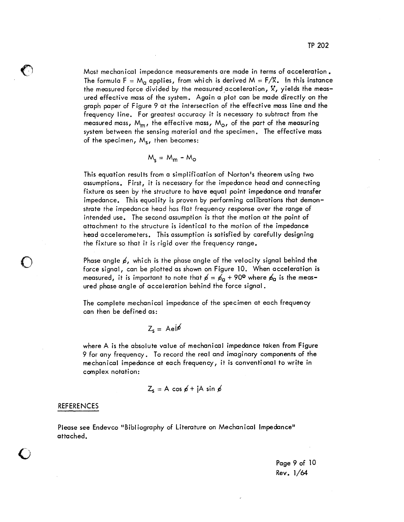Most mechanical impedance measurements are made in terms of acceleration. The formula F =  $M_q$  applies, from which is derived M =  $F/X$ . In this instance the measured force divided by the measured acceleration, X, yields the measured effective mass of the system. Again a plot can be made directly on the graph paper of Figure 9 at the intersection of the effective mass line and the frequency line. For greatest accuracy it is necessary to subtract from the measured mass,  $M_{m}$ , the effective mass,  $M_{\odot}$ , of the part of the measuring system between the sensing material and the specimen. The effective mass of the specimen, M<sub>s</sub>, then becomes:

$$
M_s = M_m - M_o
$$

This equation results from a simplification of Norton's theorem using two assumptions. First, it is necessary for the impedance head and connecting fixture as seen by the structure to have equal point impedance and transfer impedance. This equality is proven by performing calibrations that demonstrate the impedance head has flat frequency response over the range of intended use. The second assumption is that the motion at the point of attachment to the structure is identical to the motion of the impedance head accelerometers. This assumption is satisfied by carefully designing the fixture so that it is rigid over the frequency range.

Phase angle  $\beta$ , which is the phase angle of the velocity signal behind the force signal, can be plotted as shown on Figure 10. When acceleration is measured, it is important to note that  $\phi = \phi_{\alpha} + 90^{\circ}$  where  $\phi_{\alpha}$  is the meas– ured phase angle of acceleration behind the force signal.

The complete mechanical impedance of the specimen at each frequency can then be defined as:

$$
Z_{s} = Aei\phi
$$

where A is the absolute value of mechanical impedance taken from Figure 9 for any frequency. To record the real and imaginary components of the mechanical impedance at each frequency, it is conventional to write in complex notation:

$$
Z_s = A \cos \phi + jA \sin \phi
$$

### **REFERENCES**

Please see Endevco "Bibliography of Literature on Mechanical Impedance" attached.

> Page 9 of 10 Rev. 1/64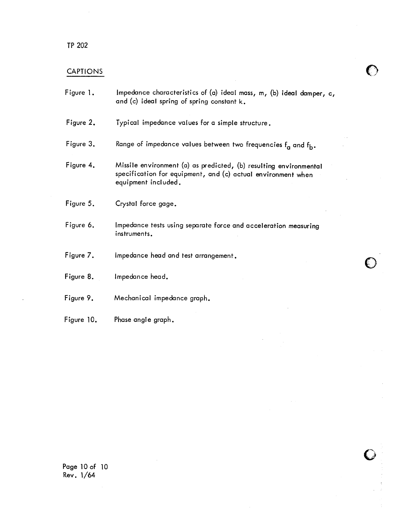## TP 202

## **CAPTIONS**

| Figure 1.  | Impedance characteristics of (a) ideal mass, m, (b) ideal damper, c,<br>and (c) ideal spring of spring constant k.                                       |
|------------|----------------------------------------------------------------------------------------------------------------------------------------------------------|
| Figure 2.  | Typical impedance values for a simple structure.                                                                                                         |
| Figure 3.  | Range of impedance values between two frequencies f <sub>a</sub> and f <sub>b</sub> .                                                                    |
| Figure 4.  | Missile environment (a) as predicted, (b) resulting environmental<br>specification for equipment, and (c) actual environment when<br>equipment included. |
| Figure 5.  | Crystal force gage.                                                                                                                                      |
| Figure 6.  | Impedance tests using separate force and acceleration measuring<br>instruments.                                                                          |
| Figure 7.  | Impedance head and test arrangement.                                                                                                                     |
| Figure 8.  | Impedance head.                                                                                                                                          |
| Figure 9.  | Mechanical impedance graph.                                                                                                                              |
| Figure 10. | Phase angle graph.                                                                                                                                       |

 $\bigcirc$ 

 $\mathcal{A}$ 

Page 10 of 10<br>Rev. 1/64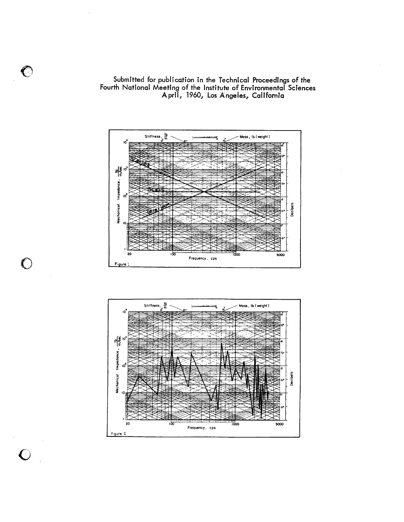

Submitted for publication in the Technical Proceedings of the<br>Fourth National Meeting of the Institute of Environmental Sciences<br>April, 1960, Los Angeles, California



 $\overline{\mathbf{C}}$ 

 $\bigcirc$ 

 $\bigcirc$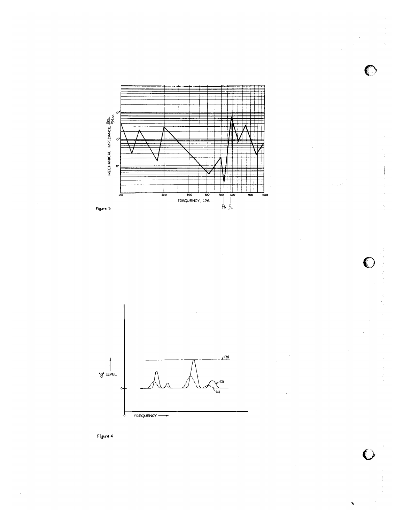





 $\bigcirc$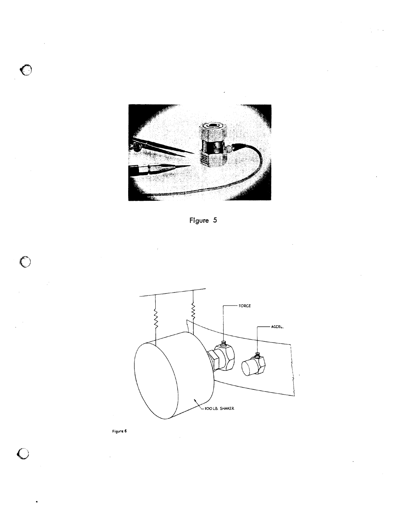







 $\bigcirc$ 

 $\bigcirc$ 

 $\overline{C}$ 

Figure 6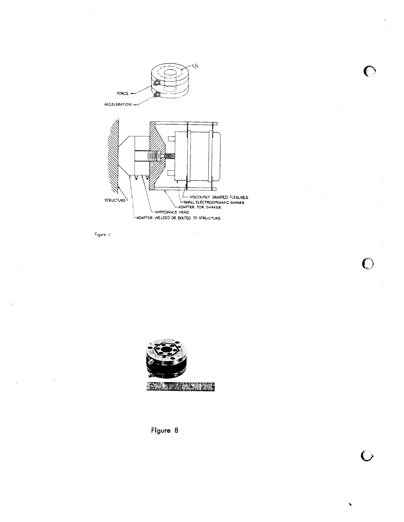

€

 $\bigcirc$ 

 $\overline{\mathbb{C}}$ 

Figure 7





 $\hat{\boldsymbol{\theta}}$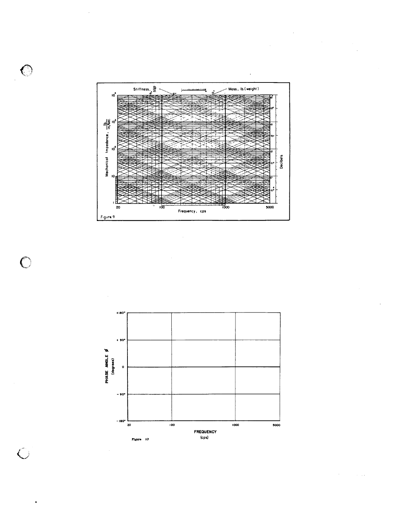

 $\bigcirc$ 

 $\bigcap$ 

 $\widehat{C}$ 

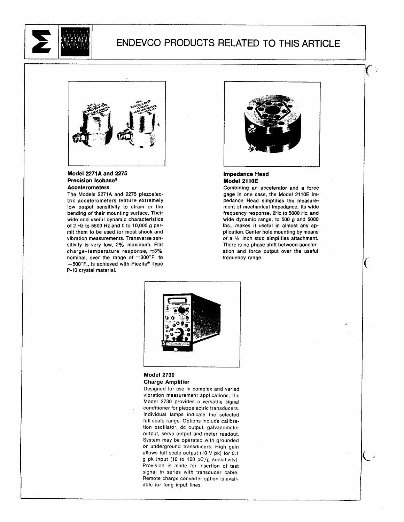

## ENDEVCO PRODUCTS RELATED TO THIS ARTICLE



## Model 2271A and 2275 Precision Isobase® **Accelerometers**

The Models 2271A and 2275 piezoelectric accelerometers feature extremely low output sensitivity to strain or the bending of their mounting surface. Their wide and useful dynamic characteristics of 2 Hz to 5500 Hz and 0 to 10,000 g permit them to be used for most shock and vibration measurements. Transverse sensitivity is very low, 2% maximum. Flat charge-temperature response,  $\pm 3\%$ nominal, over the range of -300°F. to +500°F., is achieved with Piezite® Type P-10 crystal material.



### **Impedance Head** Model 2110E

Combining an accelerator and a force gage in one case, the Model 2110E Impedance Head simplifies the measurement of mechanical impedance. Its wide frequency response, 2Hz to 5000 Hz, and wide dynamic range, to 500 g and 5000 lbs., makes it useful in almost any application. Center hole mounting by means of a 1/2 inch stud simplifies attachment. There is no phase shift between acceleration and force output over the useful frequency range.



### **Model 2730 Charge Amplifier**

Designed for use in complex and varied vibration measurement applications, the Model 2730 provides a versatile signal conditioner for piezoelectric transducers. Individual lamps indicate the selected full scale range. Options include calibration oscillator, dc output, galvanometer output, servo output and meter readout. System may be operated with grounded or underground transducers. High gain allows full scale output (10 V pk) for 0.1 g pk input (10 to 100 pC/g sensitivity). Provision is made for insertion of test signal in series with transducer cable. Remote charge converter option is available for long input lines.